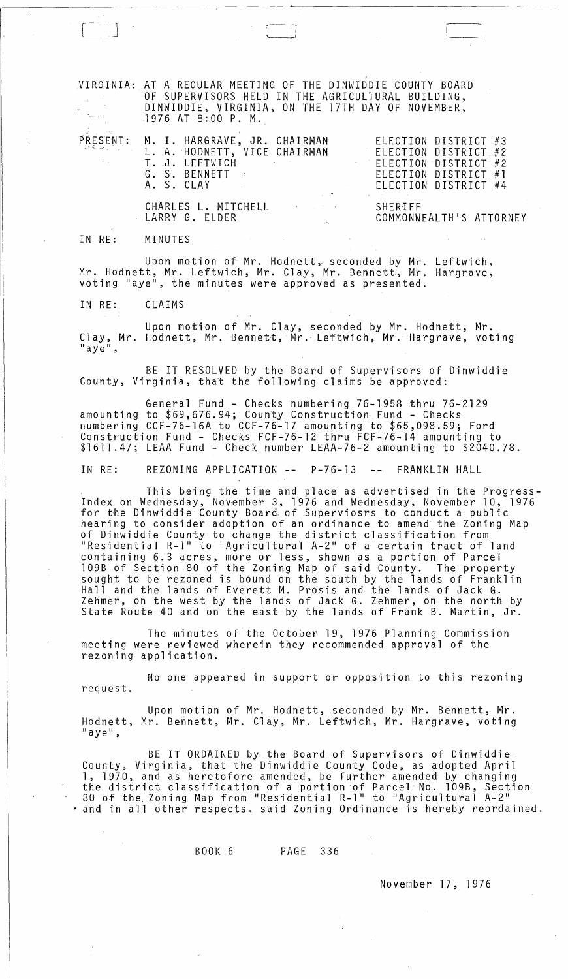, VIRGINIA: AT A REGULAR MEETING OF THE DINWIDDIE COUNTY BOARD OF SUPERVISORS HELD IN THE AGRICULTURAL BUILDING, DINWIDDIE, VIRGINIA, ON THE 17TH DAY OF NOVEMBER,  $\mathcal{N}_{\text{max}}$  ,  $\mathcal{N}_{\text{max}}$ 1976 AT 8:00 P. M.

| $\mathcal{O}(\mathcal{O}(\log n))$ | PRESENT: M. I. HARGRAVE, JR. CHAIRMAN<br>L. A. HODNETT, VICE CHAIRMAN<br>T. J. LEFTWICH DESCRIPTION OF THE STATE OF THE STATE OF THE STATE OF THE STATE OF THE STATE OF THE STATE OF TH<br>G. S. BENNETT<br>A. S. CLAY | the company of the company of the company of the company of | ELECTION DISTRICT #3<br>ELECTION DISTRICT #2<br>ELECTION DISTRICT #2<br>ELECTION DISTRICT $#1$<br>ELECTION DISTRICT #4 |
|------------------------------------|------------------------------------------------------------------------------------------------------------------------------------------------------------------------------------------------------------------------|-------------------------------------------------------------|------------------------------------------------------------------------------------------------------------------------|
|                                    | CHARLES L. MITCHELL SHERIFF<br>LARRY G. ELDER                                                                                                                                                                          |                                                             | COMMONWEALTH'S ATTORNEY                                                                                                |

IN RE: MINUTES

Upon motion of Mr. Hodnett, seconded by Mr. Leftwich, Mr. Hodnett, Mr. Leftwich, Mr. Clay, Mr. Bennett, Mr. Hargrave, voting "aye", the minutes were approved as presented.

IN RE: CLAIMS

 $\mathbb T$ 

Upon motion of Mr. Clay, seconded by Mr. Hodnett, Mr. Clay, Mr. Hodnett, Mr. Bennett, Mr.' Leftwich, Mr. Hargrave, voting  $"$ aye",

BE IT RESOLVED by the Board of Supervisors of Dinwiddie County, Virginia, that the following claims be approved:

General Fund - Checks numbering 76-1958 thru 76-2129 amounting to \$69,676.94; County Construction Fund - Checks numbering CCF-76-16A to CCF-76-17 amounting to \$65,098.59; Ford Construction Fund - Checks FCF-76-12 thru FCF-76-14 amounting to \$1611.47; LEAA Fund - Check number LEAA-76-2 amounting to \$2040.78.

IN RE: REZONING APPLICATION -- P-76-13 -- FRANKLIN HALL

This being the time and place as advertised in the Progress-<br>Index on Wednesday, November 3, 1976 and Wednesday, November 10, 1976 for the Dinwiddie County Board of Superviosrs to conduct a public hearing to consider adoption of an ordinance to amend the Zoning Map of Dinwiddie County to change the district classification from "Residential R-l" to "Agricultural A-2" of a certain tract of land containing 6.3 acres, more or less, shown as a portion of Parcel 109B of Section 80 of the Zoning Map· of said County. The property sought to be rezoned is bound on the south by the lands of Franklin Hall and the lands of Everett M. Prosis and the lands of Jack G. Zehmer, on the west by the lands of Jack G. Zehmer, on the north by State Route 40 and on the east by the lands of Frank B. Martin, Jr.

The minutes of the October 19, 1976 Planning Commission meeting were reviewed wherein they recommended approval of the rezoning application.

No one appeared in support or opposition to this rezoning request.

Upon motion of Mr. Hodnett, seconded by Mr. Bennett, Mr. Hodnett, Mr. Bennett, Mr. Clay, Mr. Leftwich, Mr. Hargrave, voting<br>"aye",

BE IT ORDAINED by the Board of Supervisors of Dinwiddie County, Virginia, that the Dinwiddie County Code, as adopted April<br>1, 1970, and as heretofore amended, be further amended by changing 1, 1970, and as heretofore amended, be further amended by changing<br>the district classification of a portion of Parcel No. 109B, Section 80 of the. Zoning Map from "Residential R-l" to "Agricultural A-2" • and in all other respects, said Zoning Ordinance is hereby reordained.

BOOK 6 PAGE 336

November 17, 1976

r J J ]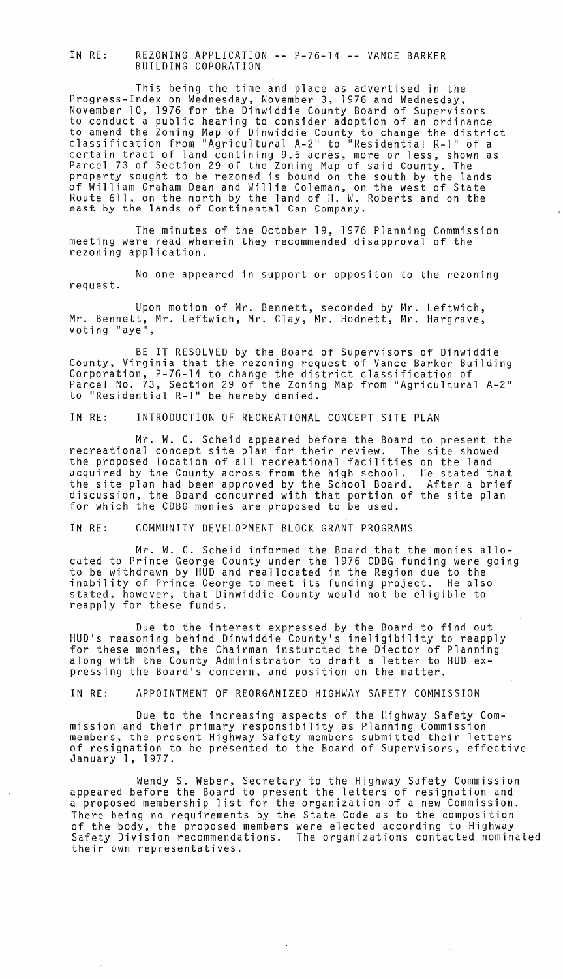IN RE: REZONING APPLICATION **--** P-76-l4 **--** VANCE BARKER BUILDING COPORATION

This being the time and place as advertised in the Progress-Index on Wednesday, November 3, 1976 and Wednesday, November 10, 1976 for the Dinwiddie County Board of Supervisors to conduct a public hearing to consider adoption of an ordinance to amend the Zoning Map of Dinwiddie County to change the district classification from "Agricultural A-2" to "Residential R-l" of a certain tract of land contining 9.5 acres, more or less, shown as Parcel 73 of Section 29 of the Zoning Map of said County. The property sought to be rezoned is bound on the south by the lands of William Graham Dean and Willie Coleman, on the west of State Route 611, on the north by the land of H. W. Roberts and on the east by the lands of Continental Can Company.

The minutes of the October 19, 1976 Planning Commission meeting were read wherein they recommended disapproval of the rezoning application.

No one appeared in support or oppositon to the rezoning request.

Upon motion of Mr. Bennett, seconded by Mr. Leftwich, Mr. Bennett, Mr. Leftwich, Mr. Clay, Mr. Hodnett, Mr. Hargrave, voting "aye",

BE IT RESOLVED by the Board of Supervisors of Dinwiddie County, Virginia that the rezoning request of Vance Barker Building Corporation, P-76-l4 to change the district classification of Parcel No. 73, Section 29 of the Zoning Map from "Agricultural A-211 to "Residential R-1" be hereby denied.

IN RE: INTRODUCTION OF RECREATIONAL CONCEPT SITE PLAN

Mr. W. C. Scheid appeared before the Board to present the recreational concept site plan for their review. The site showed the proposed location of all recreational facilities on the land<br>acquired by the County across from the high school. He stated that acquired by the County across from the high school. He stated that the site plan had been approved by the School Board. After a brief the site plan had been approved by the School Board. After a brief<br>discussion, the Board concurred with that portion of the site plan for which the CDBG monies are proposed to be used.

IN RE: COMMUNITY DEVELOPMENT BLOCK GRANT PROGRAMS

Mr. W. C. Scheid informed the Board that the monies allocated to Prince George County under the 1976 CDBG funding were going to be withdrawn by HUD and reallocated in the Region due to the inability of Prince George to meet its funding project. He also stated, however, that Dinwiddie County would not be eligible to reapply for these funds.

Due to the interest expressed by the Board to find out HUDls reasoning behind Dinwiddie County1s ineligibility to reapply for these monies, the Chairman insturcted the Diector of Planning<br>along with the County Administrator to draft a letter to HUD expressing the Board's concern, and position on the matter.

IN RE: APPOINTMENT OF REORGANIZED HIGHWAY SAFETY COMMISSION

Due to the increasing aspects of the Highway Safety Commission and their primary responsibility as Planning Commission mission and cheir primary responsibility as framming commission<br>members, the present Highway Safety members submitted their letters of resignation to be presented to the Board of Supervisors, effective January 1, 1977.

Wendy S. Weber, Secretary to the Highway Safety Commission appeared before the Board to present the letters of resignation and a proposed membership list for the organization of a new Commission. There being no requirements by the State Code as to the composition of the body, the proposed members were elected according to Highway Safety Division recommendations. The organizations contacted nominated their own representatives.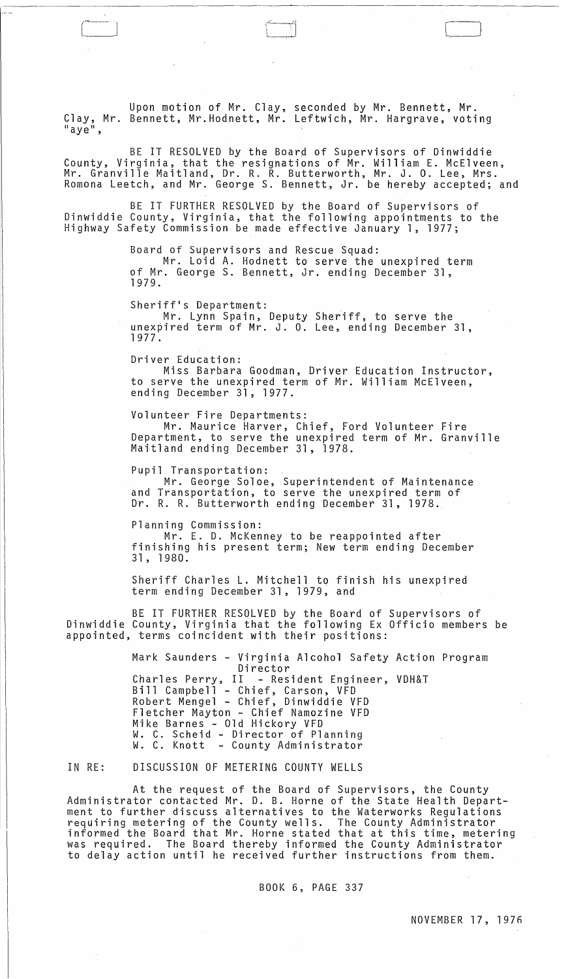Upon motion of Mr. Clay, seconded by Mr. Bennett, Mr. Clay, Mr. Bennett, Mr.Hodnett, Mr. Leftwich, Mr. Hargrave, voting "aye",

 $i=1$ . لسيسيا

BE IT RESOLVED by the Board of Supervisors of Dinwiddie County, Virginia, that the resignations of Mr. William E. McElveen, Mr. Granville Maitland, Dr. R. R. Butterworth, Mr. J. O. Lee, Mrs. Romona Leetch, and Mr. George S. Bennett, Jr. be hereby accepted; and

BE IT FURTHER RESOLVED by the Board of Supervisors of Dinwiddie County, Virginia, that the following appointments to the Highway Safety Commission be made effective January 1, 1977;

> Board of Supervisors and Rescue Squad: Mr. Loid A. Hodnett to serve the unexpired term of Mr. George S. Bennett, Jr. ending December 31, 1979.

> Sheriff's Department: Mr. Lynn Spain, Deputy Sheriff, to serve the unexpired term of Mr. J. O. Lee, ending December 31, 1977.

Driver Education: Miss Barbara Goodman, Driver Education Instructor, to serve the unexpired term of Mr. William McElveen, ending December 31, 1977.

Volunteer Fire Departments: Mr. Maurice Harver, Chief, Ford Volunteer Fire Department, to serve the unexpired term of Mr. Granville Maitland ending December 31, 1978.

Pupil Transportation: Mr. George Soloe, Superintendent of Maintenance and Transportation, to serve the unexpired term of Dr. R. R. Butterworth ending December 31, 1978.

Planning Commission: Mr. E. D. McKenney to be reappointed after finishing his present term; New term ending December 31, 1980.

Sheriff Charles L. Mitchell to finish his unexpired term ending December 31, 1979, and

BE IT FURTHER RESOLVED by the Board of Supervisors of Dinwiddie County, Virginia that the following Ex Officio members be appointed, terms coincident with their positions:

> Mark Saunders - Virginia Alcohol Safety Action Program Director Charles Perry, II - Resident Engineer, VDH&T Bill Campbell - Chief, Carson, VFD Robert Mengel - Chief, Dinwiddie VFD Fletcher Mayton - Chief Namozine VFD Mike Barnes - Old Hickory VFD W. C. Scheid - Director of Planning<br>W. C. Knott - County Administrator - County Administrator

IN RE: DISCUSSION OF METERING COUNTY WELLS

At the request of the Board of Supervisors, the County Administrator contacted Mr. D. B. Horne of the State Health Department to further discuss alternatives to the Waterworks Regulations requiring metering of the County wells. The County Administrator informed the Board that Mr. Horne stated that at this time, metering was required. The Board thereby informed the County Administrator to delay action until he received further instructions from them.

BOOK 6, PAGE 337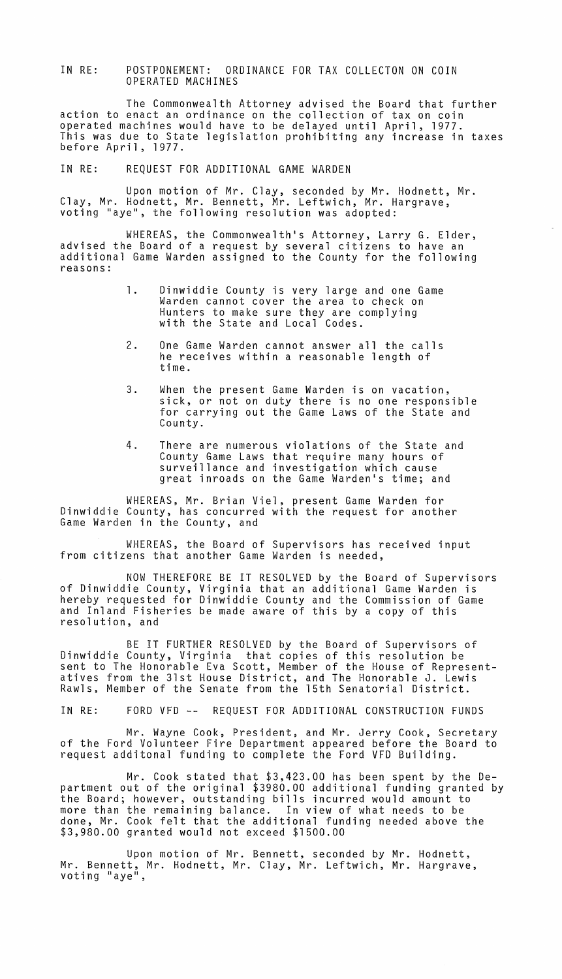## IN RE: POSTPONEMENT: ORDINANCE FOR TAX COLLECTON ON COIN OPERATED MACHINES

The Commonwealth Attorney advised the Board that further action to enact an ordinance on the collection of tax on coin operated machines would have to be delayed until April, 1977. This was due to State legislation prohibiting any increase in taxes before April, 1977.

IN RE: REQUEST FOR ADDITIONAL GAME WARDEN

Upon motion of Mr. Clay, seconded by Mr. Hodnett, Mr. Clay, Mr. Hodnett, Mr. Bennett, Mr. Leftwich, Mr. Hargrave,<br>voting "aye", the following resolution was adopted:

WHEREAS, the Commonwealth's Attorney, Larry G. Elder, advised the Board of a request by several citizens to have an additional Game Warden assigned to the County for the following reasons:

- 1. Dinwiddie County is very large and one Game Warden cannot cover the area to check on Hunters to make sure they are complying with the State and Local Codes.
- 2. One Game Warden cannot answer all the calls he receives within a reasonable length of time.
- 3. When the present Game Warden is on vacation, sick, or not on duty there is no one responsible for carrying out the Game Laws of the State and County.
- 4. There are numerous violations of the State and County Game Laws that require many hours of surveillance and investigation which cause great inroads on the Game Warden's time; and

WHEREAS, Mr. Brian Viel, present Game Warden for Dinwiddie County, has concurred with the request for another Game Warden in the County, and

WHEREAS, the Board of Supervisors has received input from citizens that another Game Warden is needed,

NOW THEREFORE BE IT RESOLVED by the Board of Supervisors of Dinwiddie County, Virginia that an additional Game Warden is hereby requested for Dinwiddie County and the Commission of Game and Inland Fisheries be made aware of this by a copy of this resolution, and

BE IT FURTHER RESOLVED by the Board of Supervisors of Dinwiddie County, Virginia that copies of this resolution be sent to The Honorable Eva Scott, Member of the House of Representatives from the 31st House District, and The Honorable J. Lewis Rawls, Member of the Senate from the 15th Senatorial District.

IN RE: FORD VFD -- REQUEST FOR ADDITIONAL CONSTRUCTION FUNDS

Mr. Wayne Cook, President, and Mr. Jerry Cook, Secretary of the Ford Volunteer Fire Department appeared before the Board to request additonal funding to complete the Ford VFD Building.

Mr. Cook stated that \$3,423.00 has been spent by the Department out of the original \$3980.00 additional funding granted by the Board; however, outstanding bills incurred would amount to more than the remaining balance. In view of what needs to be done, Mr. Cook felt that the additional funding needed above the \$3,980.00 granted would not exceed \$1500.00

Upon motion of Mr. Bennett, seconded by Mr. Hodnett, Mr. Bennett, Mr. Hodnett, Mr. Clay, Mr. Leftwich, Mr. Hargrave,<br>voting "aye",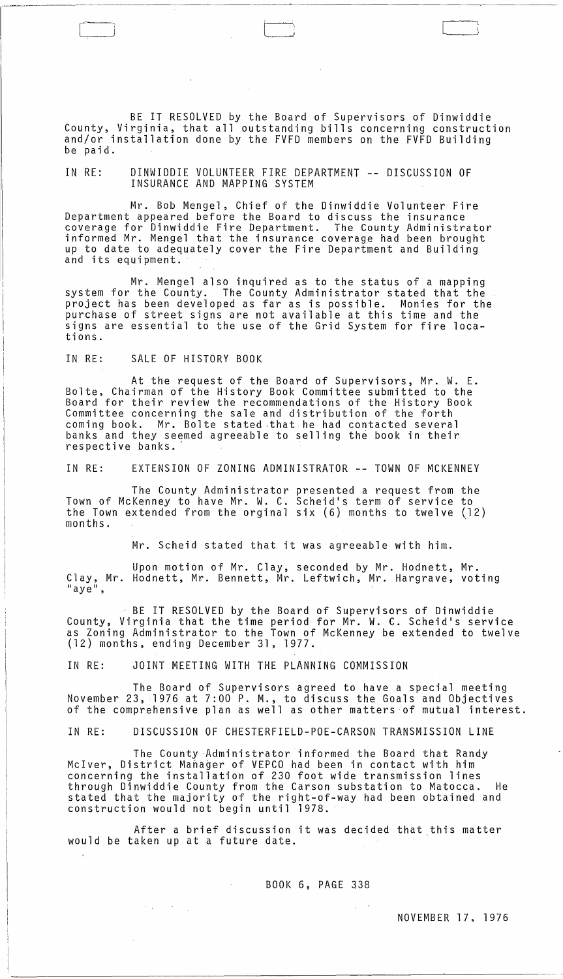BE IT RESOLVED by the Board of Supervisors of Dinwiddie County, Virginia, that all outstanding bills concerning construction and/or installation done by the FVFD members on the FVFD Building be paid.

[J L~\_J

IN RE: DINWIDDIE VOLUNTEER FIRE DEPARTMENT -- DISCUSSION OF INSURANCE AND MAPPING SYSTEM

Mr. Bob Mengel, Chief of the Dinwiddie Volunteer Fire Department appeared before the Board to discuss the insurance coverage for Dinwiddie Fire Department. The County Administrator informed Mr. Mengel that the insurance coverage had been brought up to date to adequately cover the Fire Department and Building<br>and its equipment.

Mr. Mengel also inquired as to the status of a mapping system for the County. The County Administrator stated that the project has been developed as far asis possible. Monies for the purchase of street signs are not available at this time and the signs are essential to the use of the Grid System for fire locations.

IN RE: SALE OF HISTORY BOOK

 $\mathcal{A}(\mathbf{q})$  and  $\mathcal{A}(\mathbf{q})$  .

 $\mathcal{A}^{(2)}$ 

At the request of the Board of Supervisors, Mr. W. E. Bolte, Chairman of the History Book Committee submitted to the Board for their review the recommendations of the History Book Committee concerning the sale and distribution of the forth coming book. Mr. Bolte stated .that he had contacted several banks and they seemed agreeable to selling the book in their respective banks.'

IN RE: EXTENSION OF ZONING ADMINISTRATOR -- TOWN OF MCKENNEY

The County Administrator presented a request from the Town of McKenney to have Mr. W. C. Scheid's term of service to the Town extended from the orginal six (6) months to twelve (12) months.

Mr. Scheid stated that it was agreeable with him.

Upon motion of Mr. Clay, seconded by Mr. Hodnett, Mr. Clay, Mr. Hodnett, Mr. Bennett, Mr. Leftwich, Mr. Hargrave, voting<br>"aye",

 $\ge$  BE IT RESOLVED by the Board of Supervisors of Dinwiddie County, Virginia that the time period for Mr. W. C. Scheid's service as Zoning Administrator to the Town of McKenney be extended to twelve (12) months, ending December 31, 1977.

IN RE: JOINT MEETING WITH THE PLANNING COMMISSION

The Board of Supervisors agreed to have a special meeting November 23, 1976 at 7:00 P. M., to discuss the Goals and Objectives of the comprehensive plan as well as other matters of mutual interest.

IN RE: DISCUSSION OF CHESTERFIELD-POE-CARSON TRANSMISSION LINE

The County Administrator informed the Board that Randy McIver, District Manager of VEPCO had been in contact with him concerning the installation of 230 foot wide transmission lines through Dinwiddie County from the Carson substation to Matocca. He stated that the majority of the right-of-way had been obtained and construction would not begin until 1978.

After a brief discussion it was decided that this matter would be taken up at a future date.

## BOOK 6, PAGE 338

 $\sim 10^{-10}$  M

NOVEMBER 17, 1976